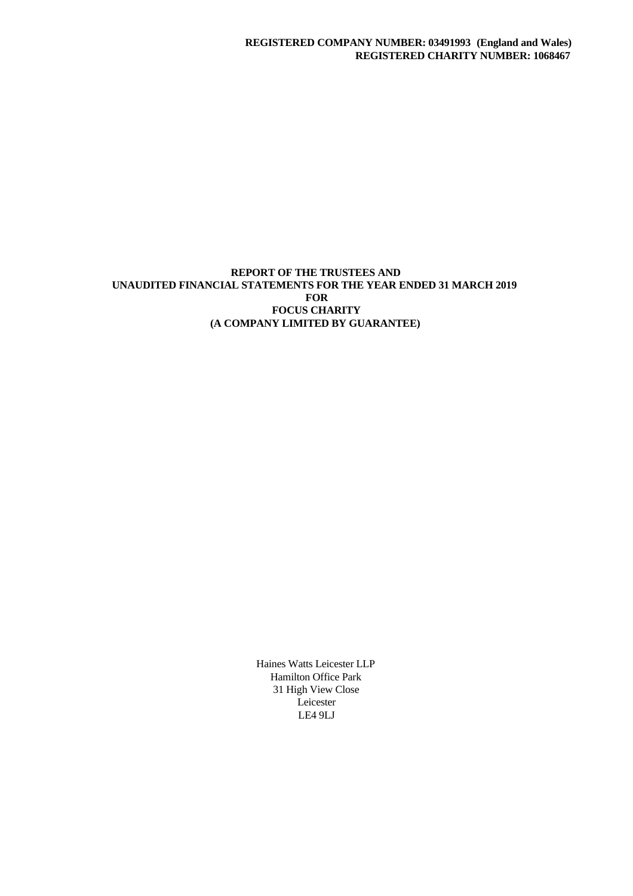# **REPORT OF THE TRUSTEES AND UNAUDITED FINANCIAL STATEMENTS FOR THE YEAR ENDED 31 MARCH 2019 FOR FOCUS CHARITY (A COMPANY LIMITED BY GUARANTEE)**

Haines Watts Leicester LLP Hamilton Office Park 31 High View Close Leicester LE4 9LJ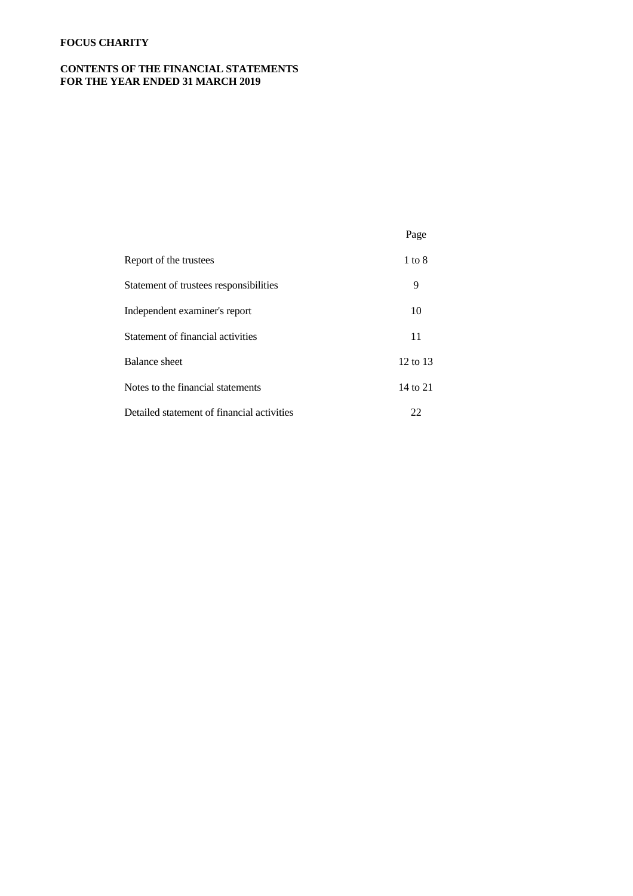# **CONTENTS OF THE FINANCIAL STATEMENTS FOR THE YEAR ENDED 31 MARCH 2019**

| Report of the trustees                     | $1$ to $8$ |  |
|--------------------------------------------|------------|--|
| Statement of trustees responsibilities     | 9          |  |
| Independent examiner's report              | 10         |  |
| Statement of financial activities          | 11         |  |
| Balance sheet                              | 12 to 13   |  |
| Notes to the financial statements          | 14 to 21   |  |
| Detailed statement of financial activities | 22         |  |

Page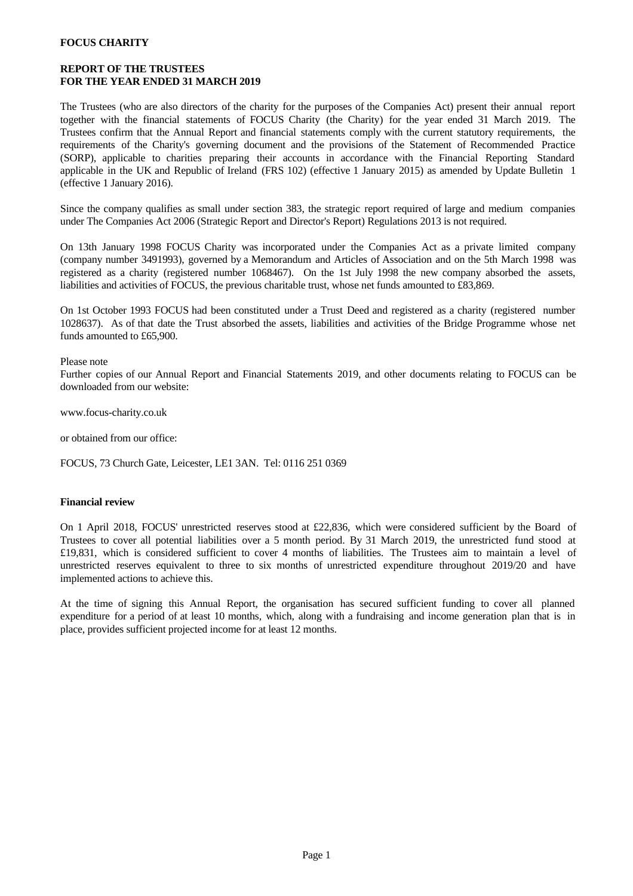### **REPORT OF THE TRUSTEES FOR THE YEAR ENDED 31 MARCH 2019**

The Trustees (who are also directors of the charity for the purposes of the Companies Act) present their annual report together with the financial statements of FOCUS Charity (the Charity) for the year ended 31 March 2019. The Trustees confirm that the Annual Report and financial statements comply with the current statutory requirements, the requirements of the Charity's governing document and the provisions of the Statement of Recommended Practice (SORP), applicable to charities preparing their accounts in accordance with the Financial Reporting Standard applicable in the UK and Republic of Ireland (FRS 102) (effective 1 January 2015) as amended by Update Bulletin 1 (effective 1 January 2016).

Since the company qualifies as small under section 383, the strategic report required of large and medium companies under The Companies Act 2006 (Strategic Report and Director's Report) Regulations 2013 is not required.

On 13th January 1998 FOCUS Charity was incorporated under the Companies Act as a private limited company (company number 3491993), governed by a Memorandum and Articles of Association and on the 5th March 1998 was registered as a charity (registered number 1068467). On the 1st July 1998 the new company absorbed the assets, liabilities and activities of FOCUS, the previous charitable trust, whose net funds amounted to £83,869.

On 1st October 1993 FOCUS had been constituted under a Trust Deed and registered as a charity (registered number 1028637). As ofthat date the Trust absorbed the assets, liabilities and activities of the Bridge Programme whose net funds amounted to £65,900.

#### Please note

Further copies of our Annual Report and Financial Statements 2019, and other documents relating to FOCUS can be downloaded from our website:

www.focus-charity.co.uk

or obtained from our office:

FOCUS, 73 Church Gate, Leicester, LE1 3AN. Tel: 0116 251 0369

#### **Financial review**

On 1 April 2018, FOCUS' unrestricted reserves stood at £22,836, which were considered sufficient by the Board of Trustees to cover all potential liabilities over a 5 month period. By 31 March 2019, the unrestricted fund stood at £19,831, which is considered sufficient to cover 4 months of liabilities. The Trustees aim to maintain alevel of unrestricted reserves equivalent to three to six months of unrestricted expenditure throughout 2019/20 and have implemented actions to achieve this.

At the time of signing this Annual Report, the organisation has secured sufficient funding to cover all planned expenditure for a period of at least 10 months, which, along with a fundraising and income generation plan that is in place, provides sufficient projected income for at least 12 months.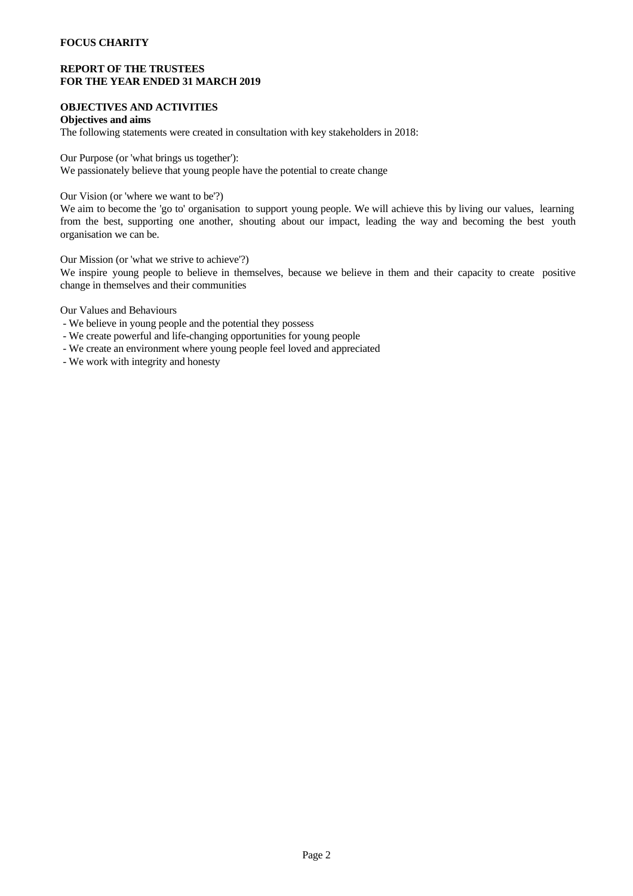### **REPORT OF THE TRUSTEES FOR THE YEAR ENDED 31 MARCH 2019**

### **OBJECTIVES AND ACTIVITIES**

### **Objectives and aims**

The following statements were created in consultation with key stakeholders in 2018:

Our Purpose (or 'what brings us together'):

We passionately believe that young people have the potential to create change

Our Vision (or 'where we want to be'?)

We aim to become the 'go to' organisation to support young people. We will achieve this by living our values, learning from the best, supporting one another, shouting about our impact, leading the way and becoming the best youth organisation we can be.

Our Mission (or 'what we strive to achieve'?)

We inspire young people to believe in themselves, because we believe in them and their capacity to create positive change in themselves and their communities

Our Values and Behaviours

- We believe in young people and the potential they possess
- We create powerful and life-changing opportunities for young people
- We create an environment where young people feel loved and appreciated

- We work with integrity and honesty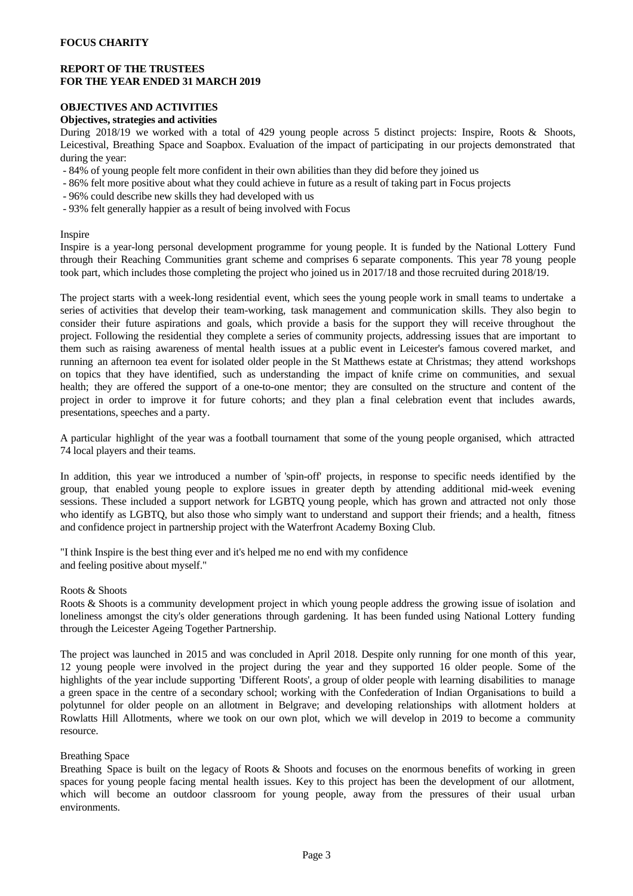### **REPORT OF THE TRUSTEES FOR THE YEAR ENDED 31 MARCH 2019**

# **OBJECTIVES AND ACTIVITIES**

### **Objectives, strategies and activities**

During 2018/19 we worked with a total of 429 young people across 5 distinct projects: Inspire, Roots & Shoots, Leicestival, Breathing Space and Soapbox. Evaluation of the impact of participating in our projects demonstrated that during the year:

- 84% of young people felt more confident in their own abilities than they did before they joined us
- 86% felt more positive about what they could achieve in future as a result of taking part in Focus projects
- 96% could describe new skills they had developed with us
- 93% felt generally happier as a result of being involved with Focus

### Inspire

Inspire is a year-long personal development programme for young people. It is funded by the National Lottery Fund through their Reaching Communities grant scheme and comprises 6 separate components. This year 78 young people took part, which includes those completing the project who joined us in 2017/18 and those recruited during 2018/19.

The project starts with a week-long residential event, which sees the young people work in small teams to undertake a series of activities that develop their team-working, task management and communication skills. They also begin to consider their future aspirations and goals, which provide a basis for the support they will receive throughout the project. Following the residential they complete a series of community projects, addressing issues that are important to them such as raising awareness of mental health issues at a public event in Leicester's famous covered market, and running an afternoon tea event for isolated older people in the St Matthews estate at Christmas; they attend workshops on topics that they have identified, such as understanding the impact of knife crime on communities, and sexual health; they are offered the support of a one-to-one mentor; they are consulted on the structure and content of the project in order to improve it for future cohorts; and they plan afinal celebration event that includes awards, presentations, speeches and a party.

A particular highlight of the yearwas a football tournament that some of the young people organised, which attracted 74 local players and their teams.

In addition, this year we introduced a number of 'spin-off' projects, in response to specific needs identified by the group, that enabled young people to explore issues in greater depth by attending additional mid-week evening sessions. These included a support network for LGBTQ young people, which has grown and attracted not only those who identify as LGBTQ, but also those who simply want to understand and support their friends; and a health, fitness and confidence project in partnership project with the Waterfront Academy Boxing Club.

"I think Inspire is the best thing ever and it's helped me no end with my confidence and feeling positive about myself."

#### Roots & Shoots

Roots & Shoots is a community development project in which young people address the growing issue of isolation and loneliness amongst the city's older generations through gardening. It has been funded using National Lottery funding through the Leicester Ageing Together Partnership.

The project was launched in 2015 and was concluded in April 2018. Despite only running for one month of this year, 12 young people were involved in the project during the year and they supported 16 older people. Some of the highlights of the year include supporting 'Different Roots', a group of older people with learning disabilities to manage a green space in the centre of a secondary school; working with the Confederation of Indian Organisations to build a polytunnel for older people on an allotment in Belgrave; and developing relationships with allotment holders at Rowlatts Hill Allotments, where we took on our own plot, which we will develop in 2019 to become a community resource.

#### Breathing Space

Breathing Space is built on the legacy of Roots  $\&$  Shoots and focuses on the enormous benefits of working in green spaces for young people facing mental health issues. Key to this project has been the development of our allotment, which will become an outdoor classroom for young people, away from the pressures of their usual urban environments.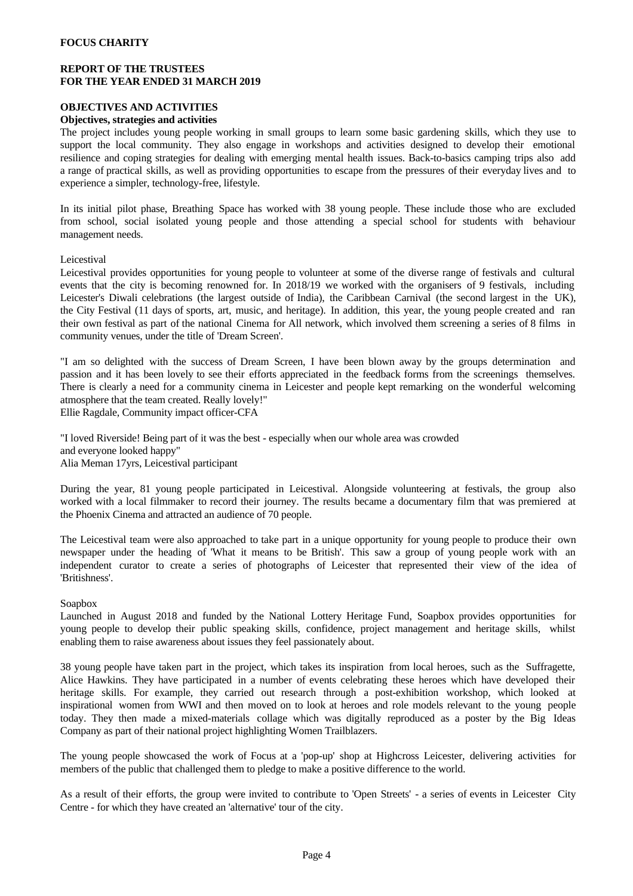### **REPORT OF THE TRUSTEES FOR THE YEAR ENDED 31 MARCH 2019**

# **OBJECTIVES AND ACTIVITIES**

### **Objectives, strategies and activities**

The project includes young people working in small groups to learn some basic gardening skills, which they use to support the local community. They also engage in workshops and activities designed to develop their emotional resilience and coping strategies for dealing with emerging mental health issues. Back-to-basics camping trips also add a range of practical skills, as well as providing opportunities to escape from the pressures of their everyday lives and to experience a simpler, technology-free, lifestyle.

In its initial pilot phase, Breathing Space has worked with 38 young people. These include those who are excluded from school, social isolated young people and those attending a special school for students with behaviour management needs.

Leicestival

Leicestival provides opportunities for young people to volunteer at some of the diverse range of festivals and cultural events that the city is becoming renowned for. In 2018/19 we worked with the organisers of 9 festivals, including Leicester's Diwali celebrations (the largest outside of India), the Caribbean Carnival (the second largest in the UK), the City Festival (11 daysofsports, art, music, and heritage). In addition, this year, the young people created and ran their own festival as part of the national Cinema for All network, which involved them screening a seriesof 8 films in community venues, under the title of 'Dream Screen'.

"I am so delighted with the success of Dream Screen, I have been blown away by the groups determination and passion and it has been lovely to see their efforts appreciated in the feedback forms from the screenings themselves. There is clearly a need for a community cinema in Leicester and people kept remarking on the wonderful welcoming atmosphere that the team created. Really lovely!"

Ellie Ragdale, Community impact officer-CFA

"I loved Riverside! Being part of it was the best - especially when our whole area was crowded and everyone looked happy" Alia Meman 17yrs, Leicestival participant

During the year, 81 young people participated in Leicestival. Alongside volunteering at festivals, the group also worked with a local filmmaker to record their journey. The results became a documentary film that was premiered at the Phoenix Cinema and attracted an audience of 70 people.

The Leicestival team were also approached to take part in a unique opportunity for young people to produce their own newspaper under the heading of 'What it means to be British'. This saw a group of young people work with an independent curator to create a series of photographs of Leicester that represented their view of the idea of 'Britishness'.

### Soapbox

Launched in August 2018 and funded by the National Lottery Heritage Fund, Soapbox provides opportunities for young people to develop their public speaking skills, confidence, project management and heritage skills, whilst enabling them to raise awareness about issues they feel passionately about.

38 young people have taken part in the project, which takes its inspiration from local heroes, such as the Suffragette, Alice Hawkins. They have participated in a number of events celebrating these heroes which have developed their heritage skills. For example, they carried out research through a post-exhibition workshop, which looked at inspirational women from WWI and then moved on to look atheroes and role models relevant to the young people today. They then made a mixed-materials collage which was digitally reproduced as a poster by the Big Ideas Company as part of their national project highlighting Women Trailblazers.

The young people showcased the work of Focus at a 'pop-up' shop at Highcross Leicester, delivering activities for members of the public that challenged them to pledge to make a positive difference to the world.

As a result of their efforts, the group were invited to contribute to 'Open Streets' - a series of events in Leicester City Centre - for which they have created an 'alternative' tour of the city.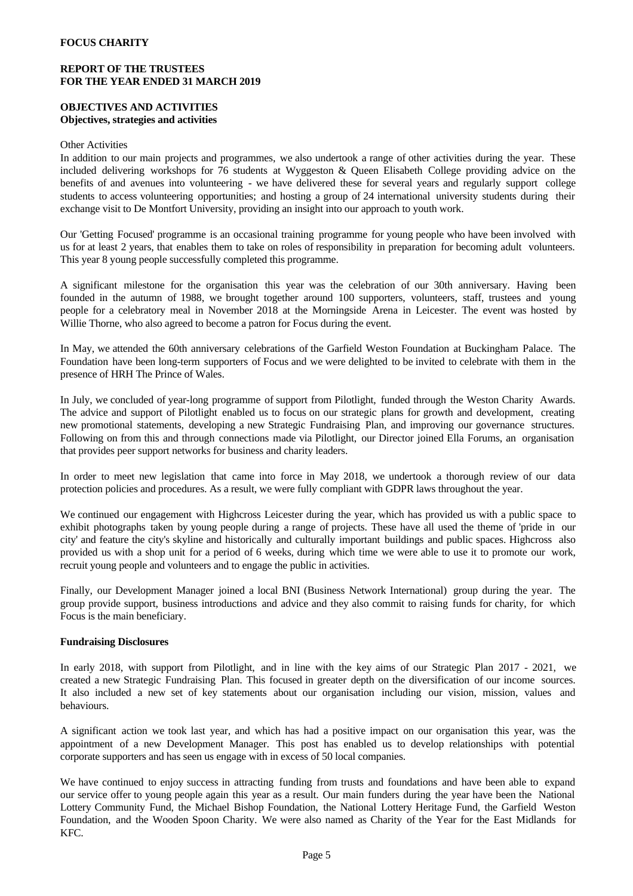### **REPORT OF THE TRUSTEES FOR THE YEAR ENDED 31 MARCH 2019**

## **OBJECTIVES AND ACTIVITIES Objectives, strategies and activities**

### Other Activities

In addition to our main projects and programmes, we also undertook a range of other activities during the year. These included delivering workshops for 76 students at Wyggeston & Queen Elisabeth College providing advice on the benefits of and avenues into volunteering - we have delivered these for several years and regularly support college students to access volunteering opportunities; and hosting a group of 24 international university students during their exchange visit to De Montfort University, providing an insight into our approach to youth work.

Our 'Getting Focused' programme is an occasional training programme for young people who have been involved with us for at least 2 years, that enables them to take on roles of responsibility in preparation for becoming adult volunteers. This year 8 young people successfully completed this programme.

A significant milestone for the organisation this year was the celebration of our 30th anniversary. Having been founded in the autumn of 1988, we brought together around 100 supporters, volunteers, staff, trustees and young people for a celebratory meal in November 2018 at the Morningside Arena in Leicester. The event was hosted by Willie Thorne, who also agreed to become a patron for Focus during the event.

In May, we attended the 60th anniversary celebrations of the Garfield Weston Foundation at Buckingham Palace. The Foundation have been long-term supporters of Focus and we were delighted to be invited to celebrate with them in the presence of HRH The Prince of Wales.

In July, we concluded of year-long programme of support from Pilotlight, funded through the Weston Charity Awards. The advice and support of Pilotlight enabled us to focus on our strategic plans for growth and development, creating new promotional statements, developing a new Strategic Fundraising Plan, and improving our governance structures. Following on from this and through connections made via Pilotlight, our Director joined Ella Forums, an organisation that provides peer support networks for business and charity leaders.

In order to meet new legislation that came into force in May 2018, we undertook a thorough review of our data protection policies and procedures. As a result, we were fully compliant with GDPR laws throughout the year.

We continued our engagement with Highcross Leicester during the year, which has provided us with a public space to exhibit photographs taken by young people during a range of projects. These have all used the theme of 'pride in our city' and feature the city's skyline and historically and culturally important buildings and public spaces. Highcross also provided us with a shop unit for a period of 6 weeks, during which time we were able to use it to promote our work, recruit young people and volunteers and to engage the public in activities.

Finally, our Development Manager joined a local BNI (Business Network International) group during the year. The group provide support, business introductions and advice and they also commit to raising funds for charity, for which Focus is the main beneficiary.

### **Fundraising Disclosures**

In early 2018, with support from Pilotlight, and in line with the key aims of our Strategic Plan 2017 - 2021, we created a new Strategic Fundraising Plan. This focused in greater depth on the diversification of our income sources. It also included anew set of key statements about our organisation including our vision, mission, values and behaviours.

A significant action we took last year, and which has had a positive impact on our organisation this year, was the appointment of a new Development Manager. This posthas enabled us to develop relationships with potential corporate supporters and has seen us engage with in excess of 50 local companies.

We have continued to enjoy success in attracting funding from trusts and foundations and have been able to expand our service offer to young people again this year as a result. Our main funders during the year have been the National Lottery Community Fund, the Michael Bishop Foundation, the National Lottery Heritage Fund, the Garfield Weston Foundation, and the Wooden Spoon Charity. We were also named as Charity of the Year for the East Midlands for KFC.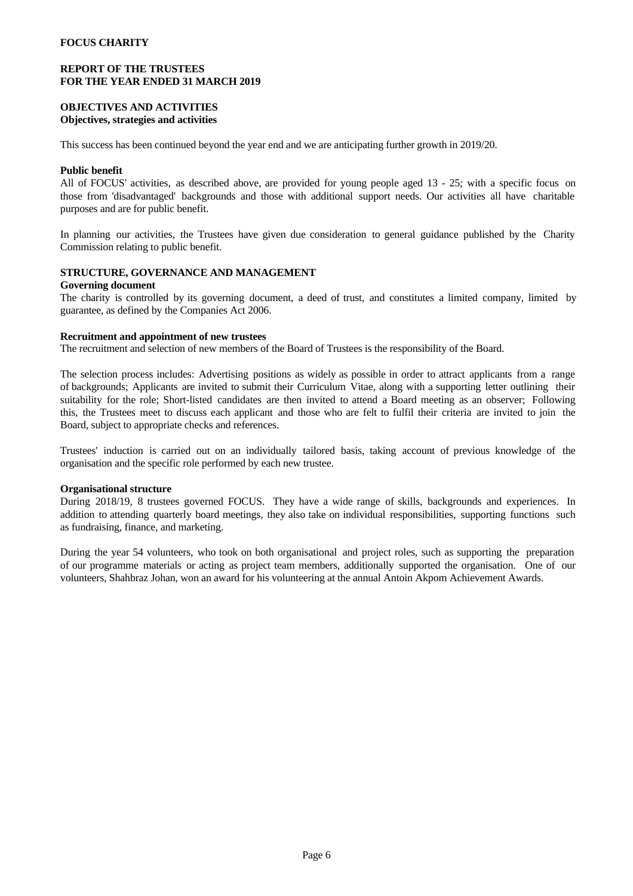### **REPORT OF THE TRUSTEES FOR THE YEAR ENDED 31 MARCH 2019**

### **OBJECTIVES AND ACTIVITIES Objectives, strategies and activities**

This success has been continued beyond the year end and we are anticipating further growth in 2019/20.

#### **Public benefit**

All of FOCUS' activities, as described above, are provided for young people aged 13 - 25; with a specific focus on those from 'disadvantaged' backgrounds and those with additional support needs. Our activities all have charitable purposes and are for public benefit.

In planning our activities, the Trustees have given due consideration to general guidance published by the Charity Commission relating to public benefit.

### **STRUCTURE, GOVERNANCE AND MANAGEMENT**

#### **Governing document**

The charity is controlled by its governing document, a deed of trust, and constitutes a limited company, limited by guarantee, as defined by the Companies Act 2006.

### **Recruitment and appointment of new trustees**

The recruitment and selection of new members of the Board of Trustees is the responsibility of the Board.

The selection process includes: Advertising positions as widely as possible in order to attract applicants from a range of backgrounds; Applicants are invited to submit their Curriculum Vitae, alongwith a supporting letter outlining their suitability for the role; Short-listed candidates are then invited to attend a Board meeting as an observer; Following this, the Trustees meet to discuss each applicant and those who are felt to fulfil their criteria are invited to join the Board, subject to appropriate checks and references.

Trustees' induction is carried out on an individually tailored basis, taking account of previous knowledge of the organisation and the specific role performed by each new trustee.

#### **Organisational structure**

During 2018/19, 8 trustees governed FOCUS. They have a wide range of skills, backgrounds and experiences. In addition to attending quarterly board meetings, they also take on individual responsibilities, supporting functions such as fundraising, finance, and marketing.

During the year 54 volunteers, who took on both organisational and project roles, such as supporting the preparation of our programme materials or acting as project team members, additionally supported the organisation. One of our volunteers, Shahbraz Johan, won an award for his volunteering at the annual Antoin Akpom Achievement Awards.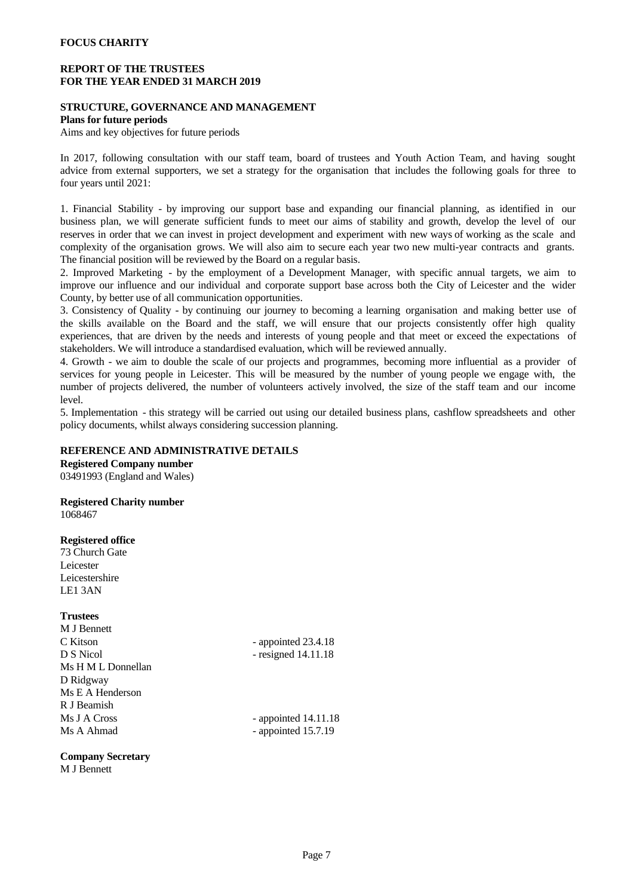### **REPORT OF THE TRUSTEES FOR THE YEAR ENDED 31 MARCH 2019**

### **STRUCTURE, GOVERNANCE AND MANAGEMENT**

#### **Plans for future periods**

Aims and key objectives for future periods

In 2017, following consultation with our staff team, board of trustees and Youth Action Team, and having sought advice from external supporters, we set a strategy for the organisation that includes the following goals for three to four years until 2021:

1. Financial Stability - by improving our support base and expanding our financial planning, as identified in our business plan, we will generate sufficient funds to meet our aims of stability and growth, develop the level of our reserves in order that we can invest in project development and experiment with new ways ofworking as the scale and complexity of the organisation grows. We will also aim to secure each year two new multi-year contracts and grants. The financial position will be reviewed by the Board on a regular basis.

2. Improved Marketing - by the employment of a Development Manager, with specific annual targets, we aim to improve our influence and our individual and corporate support base across both the City of Leicester and the wider County, by better use of all communication opportunities.

3. Consistency of Quality - by continuing our journey to becoming a learning organisation and making better use of the skills available on the Board and the staff, we will ensure that our projects consistently offer high quality experiences, that are driven by the needs and interests of young people and that meet or exceed the expectations of stakeholders. We will introduce a standardised evaluation, which will be reviewed annually.

4. Growth - we aim to double the scale of our projects and programmes, becoming more influential as a provider of services for young people in Leicester. This will be measured by the number of young people we engage with, the number of projects delivered, the number of volunteers actively involved, the size of the staff team and our income level.

5. Implementation - this strategy will be carried out using our detailed business plans,cashflow spreadsheets and other policy documents, whilst always considering succession planning.

### **REFERENCE AND ADMINISTRATIVE DETAILS**

**Registered Company number** 03491993 (England and Wales)

**Registered Charity number** 1068467

### **Registered office**

73 Church Gate Leicester Leicestershire LE1 3AN

### **Trustees**

M J Bennett C Kitson - appointed 23.4.18 D S Nicol - resigned 14.11.18 Ms H M L Donnellan D Ridgway Ms E A Henderson R J Beamish Ms J A Cross - appointed 14.11.18 Ms A Ahmad - appointed 15.7.19

**Company Secretary** M J Bennett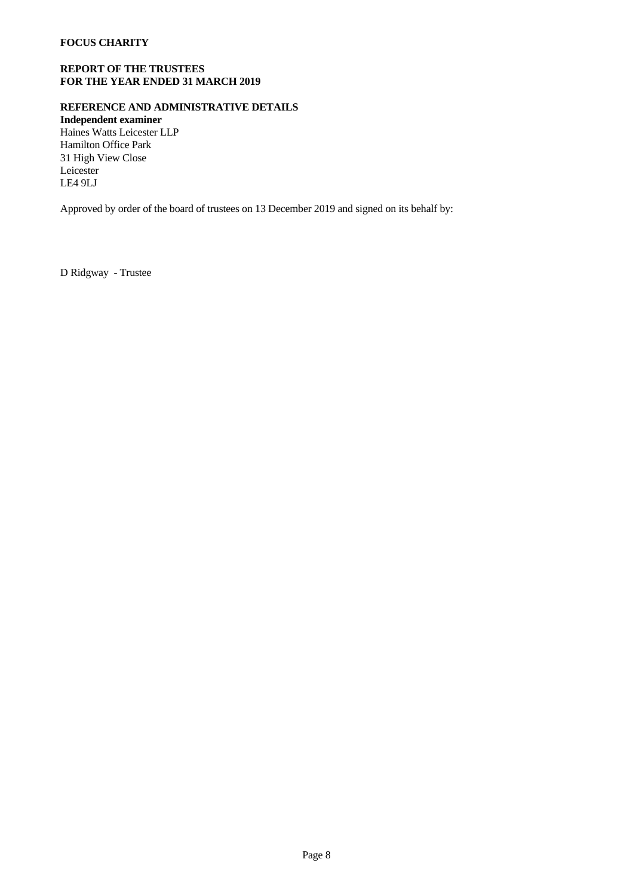# **REPORT OF THE TRUSTEES FOR THE YEAR ENDED 31 MARCH 2019**

# **REFERENCE AND ADMINISTRATIVE DETAILS**

**Independent examiner** Haines Watts Leicester LLP Hamilton Office Park 31 High View Close Leicester LE4 9LJ

Approved by order of the board of trustees on 13 December 2019 and signed on its behalf by:

D Ridgway - Trustee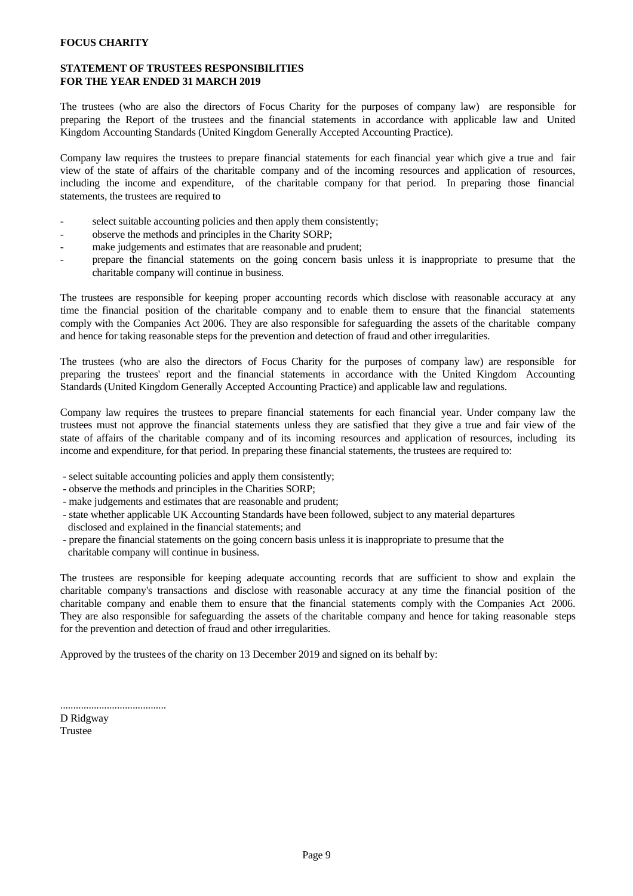# **STATEMENT OF TRUSTEES RESPONSIBILITIES FOR THE YEAR ENDED 31 MARCH 2019**

The trustees (who are also the directors of Focus Charity for the purposes of company law) are responsible for preparing the Report of the trustees and the financial statements in accordance with applicable law and United Kingdom Accounting Standards (United Kingdom Generally Accepted Accounting Practice).

Company law requires the trustees to prepare financial statements for each financial year which give a true and fair view of the state of affairs of the charitable company and of the incoming resources and application of resources, including the income and expenditure, of the charitable company for that period. In preparing those financial statements, the trustees are required to

- select suitable accounting policies and then apply them consistently;
- observe the methods and principles in the Charity SORP;
- make judgements and estimates that are reasonable and prudent;
- prepare the financial statements on the going concern basis unless it is inappropriate to presume that the charitable company will continue in business.

The trustees are responsible for keeping proper accounting records which disclose with reasonable accuracy at any time the financial position of the charitable company and to enable them to ensure that the financial statements comply with the Companies Act 2006. They are also responsible for safeguarding the assets of the charitable company and hence for taking reasonable steps for the prevention and detection of fraud and other irregularities.

The trustees (who are also the directors of Focus Charity for the purposes of company law) are responsible for preparing the trustees' report and the financial statements in accordance with the United Kingdom Accounting Standards (United Kingdom Generally Accepted Accounting Practice) and applicable law and regulations.

Company law requires the trustees to prepare financial statements for each financial year. Under company law the trustees must not approve the financial statements unless they are satisfied that they give a true and fair view of the state of affairs of the charitable company and of its incoming resources and application of resources, including its income and expenditure, for that period. In preparing these financial statements, the trustees are required to:

- select suitable accounting policies and apply them consistently;
- observe the methods and principles in the Charities SORP;
- make judgements and estimates that are reasonable and prudent;
- state whether applicable UK Accounting Standards have been followed, subject to any material departures
- disclosed and explained in the financial statements; and
- prepare the financial statements on the going concern basis unless it is inappropriate to presume that the charitable company will continue in business.

The trustees are responsible for keeping adequate accounting records that are sufficient to show and explain the charitable company's transactions and disclose with reasonable accuracy at any time the financial position of the charitable company and enable them to ensure that the financial statements comply with the Companies Act 2006. They are also responsible for safeguarding the assets of the charitable company and hence for taking reasonable steps for the prevention and detection of fraud and other irregularities.

Approved by the trustees of the charity on 13 December 2019 and signed on its behalf by:

D Ridgway Trustee

.........................................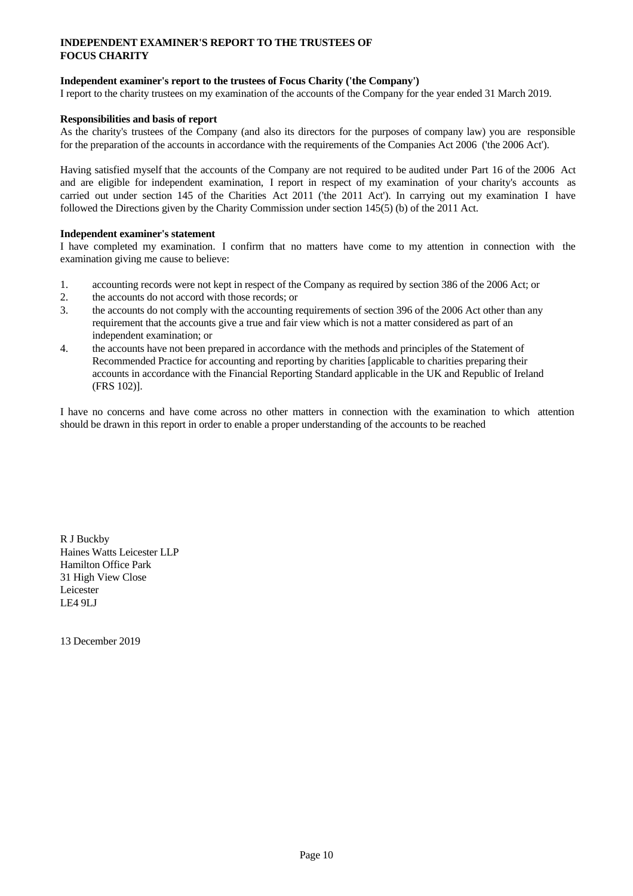# **INDEPENDENT EXAMINER'S REPORT TO THE TRUSTEES OF FOCUS CHARITY**

# **Independent examiner's report to the trustees of Focus Charity ('the Company')**

I report to the charity trustees on my examination of the accounts of the Company for the year ended 31 March 2019.

### **Responsibilities and basis of report**

As the charity's trustees of the Company (and also its directors for the purposes of company law) you are responsible for the preparation of the accounts in accordance with the requirements of the Companies Act 2006 ('the 2006 Act').

Having satisfied myself that the accounts ofthe Company are not required to be audited under Part 16 of the 2006 Act and are eligible for independent examination, I report in respect of my examination of your charity's accounts as carried out under section 145 of the Charities Act 2011 ('the 2011 Act'). In carrying out my examination I have followed the Directions given by the Charity Commission under section 145(5) (b) of the 2011 Act.

# **Independent examiner's statement**

I have completed my examination. I confirm that no matters have come to my attention in connection with the examination giving me cause to believe:

- 1. accounting records were not kept in respect of the Company as required by section 386 of the 2006 Act; or
- 2. the accounts do not accord with those records; or
- 3. the accounts do not comply with the accounting requirements of section 396 of the 2006 Act other than any requirement that the accounts give a true and fair view which is not a matter considered as part of an independent examination; or
- 4. the accounts have not been prepared in accordance with the methods and principles of the Statement of Recommended Practice for accounting and reporting by charities [applicable to charities preparing their accounts in accordance with the Financial Reporting Standard applicable in the UK and Republic of Ireland (FRS 102)].

I have no concerns and have come across no other matters in connection with the examination to which attention should be drawn in this report in order to enable a proper understanding of the accounts to be reached

R J Buckby Haines Watts Leicester LLP Hamilton Office Park 31 High View Close Leicester LE4 9LJ

13 December 2019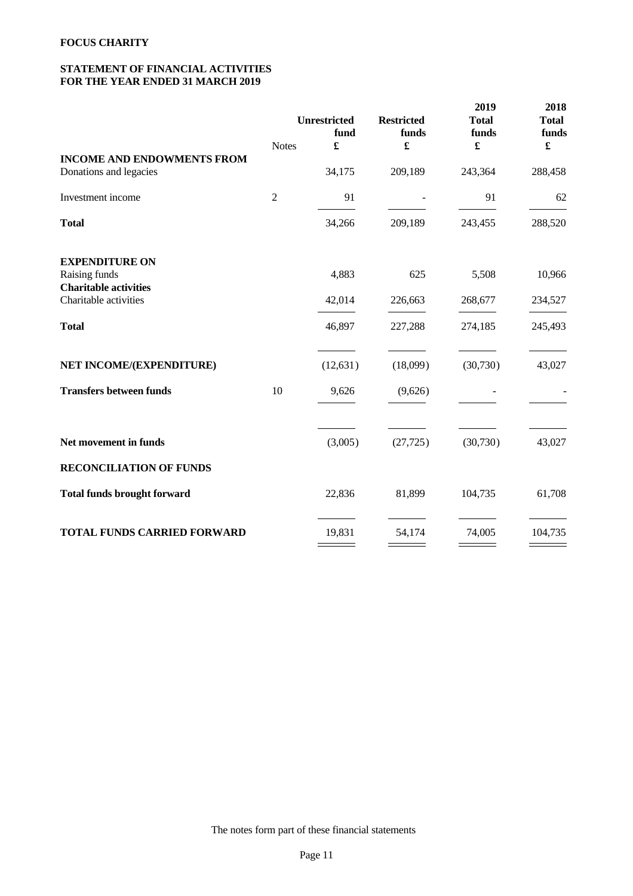# **STATEMENT OF FINANCIAL ACTIVITIES FOR THE YEAR ENDED 31 MARCH 2019**

|                                                       |                | Unrestricted<br>fund | <b>Restricted</b><br>funds | 2019<br><b>Total</b><br>funds | 2018<br><b>Total</b><br>funds |
|-------------------------------------------------------|----------------|----------------------|----------------------------|-------------------------------|-------------------------------|
|                                                       | <b>Notes</b>   | £                    | £                          | $\pmb{\mathfrak{L}}$          | $\pmb{\mathfrak{L}}$          |
| <b>INCOME AND ENDOWMENTS FROM</b>                     |                |                      |                            |                               |                               |
| Donations and legacies                                |                | 34,175               | 209,189                    | 243,364                       | 288,458                       |
| Investment income                                     | $\overline{2}$ | 91                   |                            | 91                            | 62                            |
| <b>Total</b>                                          |                | 34,266               | 209,189                    | 243,455                       | 288,520                       |
| <b>EXPENDITURE ON</b>                                 |                |                      |                            |                               |                               |
| Raising funds                                         |                | 4,883                | 625                        | 5,508                         | 10,966                        |
| <b>Charitable activities</b><br>Charitable activities |                | 42,014               | 226,663                    | 268,677                       | 234,527                       |
| <b>Total</b>                                          |                | 46,897               | 227,288                    | 274,185                       | 245,493                       |
| NET INCOME/(EXPENDITURE)                              |                | (12, 631)            | (18,099)                   | (30,730)                      | 43,027                        |
| <b>Transfers between funds</b>                        | 10             | 9,626                | (9,626)                    |                               |                               |
|                                                       |                |                      |                            |                               |                               |
| Net movement in funds                                 |                | (3,005)              | (27, 725)                  | (30,730)                      | 43,027                        |
| <b>RECONCILIATION OF FUNDS</b>                        |                |                      |                            |                               |                               |
| <b>Total funds brought forward</b>                    |                | 22,836               | 81,899                     | 104,735                       | 61,708                        |
| <b>TOTAL FUNDS CARRIED FORWARD</b>                    |                | 19,831               | 54,174                     | 74,005                        | 104,735                       |

The notes form part of these financial statements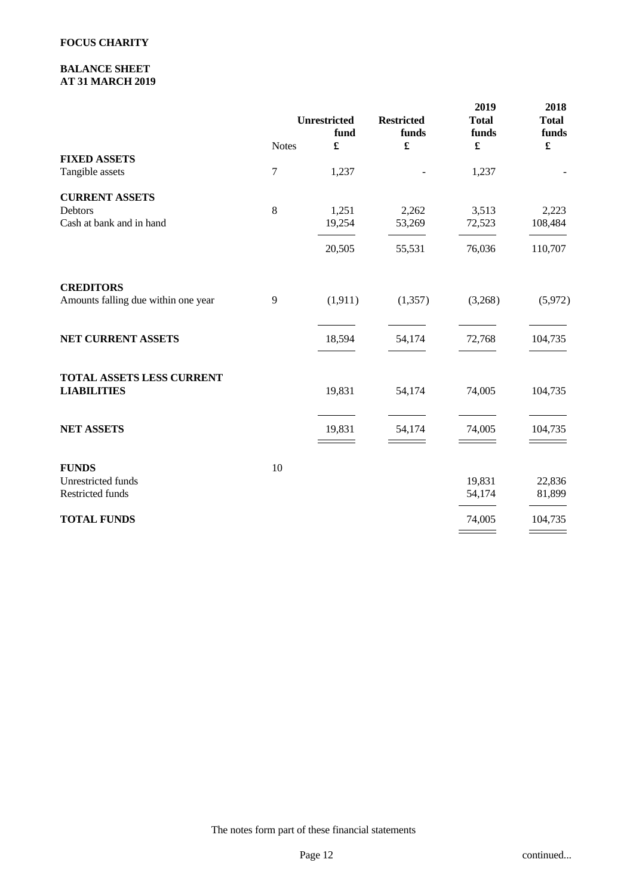# **BALANCE SHEET AT 31 MARCH 2019**

|                                     |                  | Unrestricted<br>fund | <b>Restricted</b><br>funds | 2019<br><b>Total</b><br>funds | 2018<br><b>Total</b><br>funds |  |
|-------------------------------------|------------------|----------------------|----------------------------|-------------------------------|-------------------------------|--|
|                                     | <b>Notes</b>     | £                    | $\pmb{\mathfrak{L}}$       | $\pmb{\mathfrak{X}}$          | $\pmb{\mathfrak{L}}$          |  |
| <b>FIXED ASSETS</b>                 |                  |                      |                            |                               |                               |  |
| Tangible assets                     | $\boldsymbol{7}$ | 1,237                |                            | 1,237                         |                               |  |
| <b>CURRENT ASSETS</b>               |                  |                      |                            |                               |                               |  |
| Debtors                             | $\,8\,$          | 1,251                | 2,262                      | 3,513                         | 2,223                         |  |
| Cash at bank and in hand            |                  | 19,254               | 53,269                     | 72,523                        | 108,484                       |  |
|                                     |                  | 20,505               | 55,531                     | 76,036                        | 110,707                       |  |
|                                     |                  |                      |                            |                               |                               |  |
| <b>CREDITORS</b>                    |                  |                      |                            |                               |                               |  |
| Amounts falling due within one year | 9                | (1, 911)             | (1, 357)                   | (3,268)                       | (5,972)                       |  |
|                                     |                  |                      |                            |                               |                               |  |
| NET CURRENT ASSETS                  |                  | 18,594               | 54,174                     | 72,768                        | 104,735                       |  |
|                                     |                  |                      |                            |                               |                               |  |
| TOTAL ASSETS LESS CURRENT           |                  |                      |                            |                               |                               |  |
| <b>LIABILITIES</b>                  |                  | 19,831               | 54,174                     | 74,005                        | 104,735                       |  |
|                                     |                  |                      |                            |                               |                               |  |
| <b>NET ASSETS</b>                   |                  | 19,831               | 54,174                     | 74,005                        | 104,735                       |  |
|                                     |                  |                      |                            |                               |                               |  |
| <b>FUNDS</b>                        | $10\,$           |                      |                            |                               |                               |  |
| Unrestricted funds                  |                  |                      |                            | 19,831                        | 22,836                        |  |
| Restricted funds                    |                  |                      |                            | 54,174                        | 81,899                        |  |
| <b>TOTAL FUNDS</b>                  |                  |                      |                            | 74,005                        | 104,735                       |  |
|                                     |                  |                      |                            |                               |                               |  |

The notes form part of these financial statements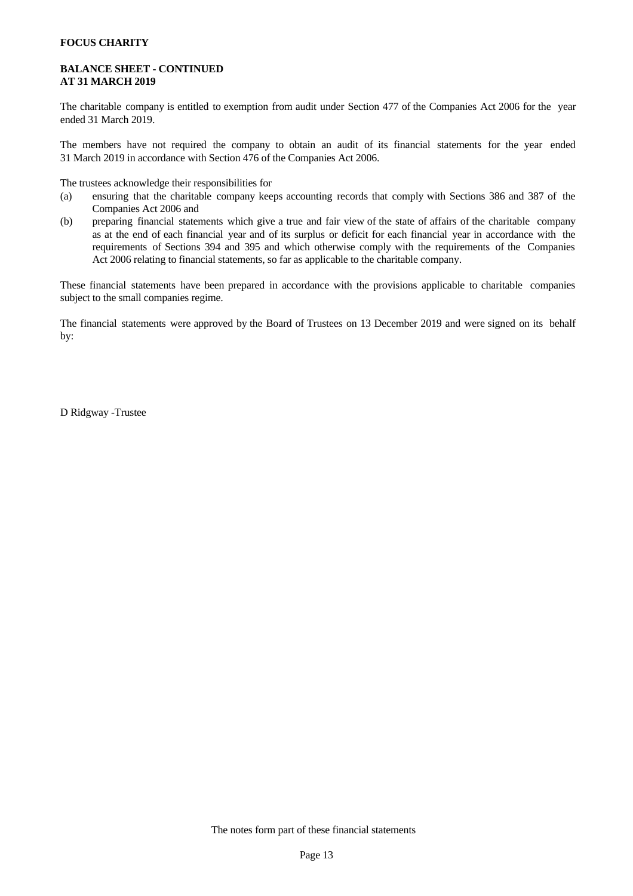### **BALANCE SHEET - CONTINUED AT 31 MARCH 2019**

The charitable company is entitled to exemption from audit under Section 477 of the Companies Act 2006 for the year ended 31 March 2019.

The members have not required the company to obtain an audit of its financial statements for the year ended 31 March 2019 in accordance with Section 476 of the Companies Act 2006.

The trustees acknowledge their responsibilities for

- (a) ensuring that the charitable company keeps accounting records that comply with Sections 386 and 387 of the Companies Act 2006 and
- (b) preparing financial statements which give a true and fair view of the state of affairs of the charitable company as at the end of each financial year and of its surplus or deficit for each financial year in accordance with the requirements of Sections 394 and 395 and which otherwise comply with the requirements of the Companies Act 2006 relating to financial statements, so far as applicable to the charitable company.

These financial statements have been prepared in accordance with the provisions applicable to charitable companies subject to the small companies regime.

The financial statements were approved by the Board of Trustees on 13 December 2019 and were signed on its behalf by:

D Ridgway -Trustee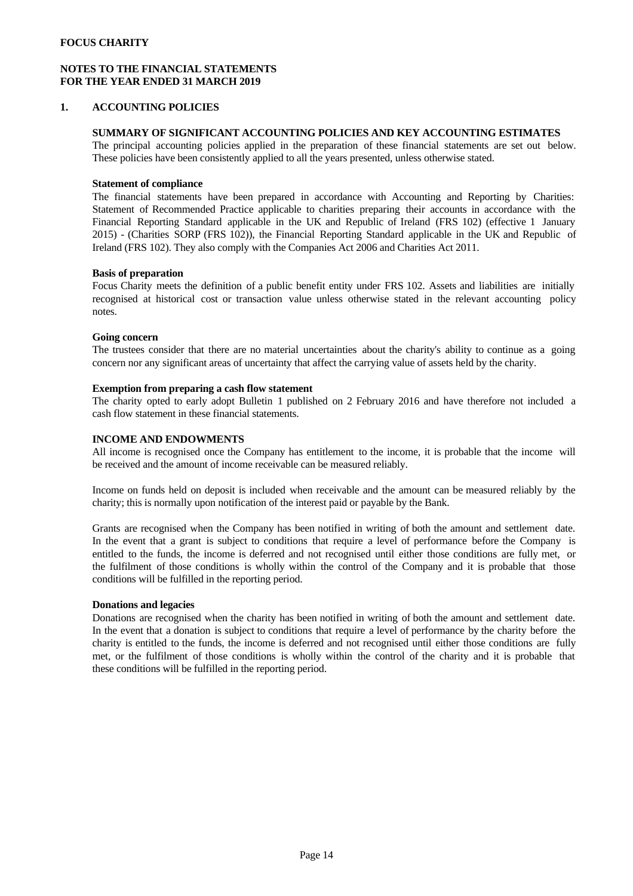# **NOTES TO THE FINANCIAL STATEMENTS FOR THE YEAR ENDED 31 MARCH 2019**

### **1. ACCOUNTING POLICIES**

### **SUMMARY OF SIGNIFICANT ACCOUNTING POLICIES AND KEY ACCOUNTING ESTIMATES**

The principal accounting policies applied in the preparation of these financial statements are set out below. These policies have been consistently applied to all the years presented, unless otherwise stated.

### **Statement of compliance**

The financial statements have been prepared in accordance with Accounting and Reporting by Charities: Statement of Recommended Practice applicable to charities preparing their accounts in accordance with the Financial Reporting Standard applicable in the UK and Republic of Ireland (FRS 102) (effective 1 January 2015) - (Charities SORP (FRS 102)), the Financial Reporting Standard applicable in the UK and Republic of Ireland (FRS 102). They also comply with the Companies Act 2006 and Charities Act 2011.

### **Basis of preparation**

Focus Charity meets the definition of a public benefit entity under FRS 102. Assets and liabilities are initially recognised at historical cost or transaction value unless otherwise stated in the relevant accounting policy notes.

### **Going concern**

The trustees consider that there are no material uncertainties about the charity's ability to continue as a going concern nor any significant areas of uncertainty that affect the carrying value of assets held by the charity.

### **Exemption from preparing a cash flow statement**

The charity opted to early adopt Bulletin 1 published on 2 February 2016 and have therefore not included a cash flow statement in these financial statements.

# **INCOME AND ENDOWMENTS**

All income is recognised once the Company has entitlement to the income, it is probable that the income will be received and the amount of income receivable can be measured reliably.

Income on funds held on deposit is included when receivable and the amount can be measured reliably by the charity; this is normally upon notification of the interest paid or payable by the Bank.

Grants are recognised when the Company has been notified in writing of both the amount and settlement date. In the event that a grant is subject to conditions that require a level of performance before the Company is entitled to the funds, the income is deferred and not recognised until either those conditions are fully met, or the fulfilment of those conditions is wholly within the control of the Company and it is probable that those conditions will be fulfilled in the reporting period.

### **Donations and legacies**

Donations are recognised when the charity has been notified in writing of both the amount and settlement date. In the event that a donation is subject to conditions that require a level of performance by the charity before the charity is entitled to the funds, the income is deferred and not recognised until either those conditions are fully met, or the fulfilment of those conditions is wholly within the controlof the charity and it is probable that these conditions will be fulfilled in the reporting period.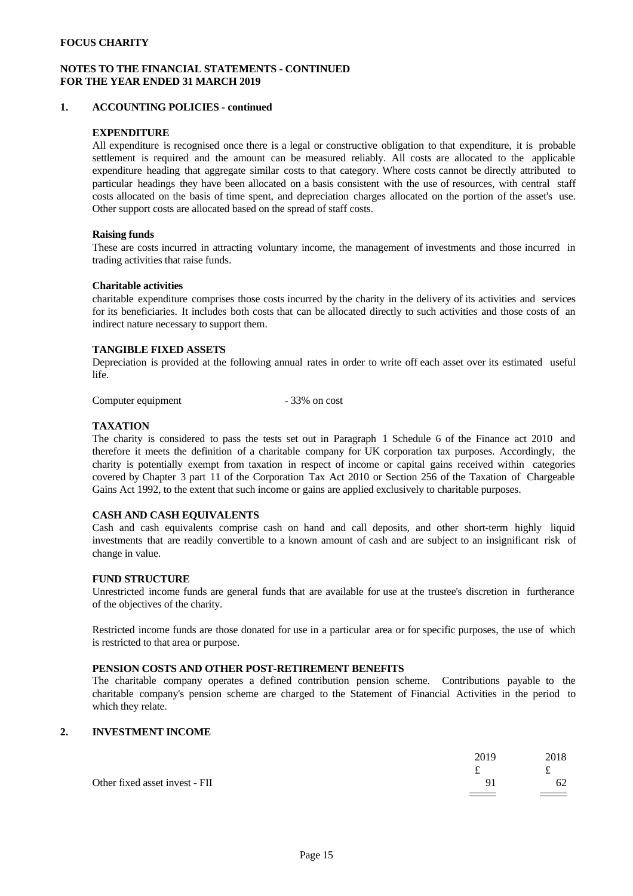### **NOTES TO THE FINANCIAL STATEMENTS - CONTINUED FOR THE YEAR ENDED 31 MARCH 2019**

### **1. ACCOUNTING POLICIES - continued**

### **EXPENDITURE**

All expenditure is recognised once there is a legal or constructive obligation to that expenditure, it is probable settlement is required and the amount can be measured reliably. All costs are allocated to the applicable expenditure heading that aggregate similar costs to that category. Where costs cannot be directly attributed to particular headings they have been allocated on a basis consistent with the use of resources, with central staff costs allocated on the basis of time spent, and depreciation charges allocated on the portion of the asset's use. Other support costs are allocated based on the spread of staff costs.

### **Raising funds**

These are costs incurred in attracting voluntary income, the management of investments and those incurred in trading activities that raise funds.

### **Charitable activities**

charitable expenditure comprises those costs incurred by the charity in the delivery of its activities and services for its beneficiaries. It includes both costs that can be allocated directly to such activities and those costs of an indirect nature necessary to support them.

### **TANGIBLE FIXED ASSETS**

Depreciation is provided at the following annual rates in order to write off each asset over its estimated useful life.

Computer equipment - 33% on cost

### **TAXATION**

The charity is considered to pass the tests set out in Paragraph 1 Schedule 6 of the Finance act 2010 and therefore it meets the definition of a charitable company for UK corporation tax purposes. Accordingly, the charity is potentially exempt from taxation in respect of income or capital gains received within categories covered by Chapter 3 part 11 of the Corporation Tax Act 2010 or Section 256 of the Taxation of Chargeable Gains Act 1992, to the extent that such income or gains are applied exclusively to charitable purposes.

### **CASH AND CASH EQUIVALENTS**

Cash and cash equivalents comprise cash on hand and call deposits, and other short-term highly liquid investments that are readily convertible to a known amount of cash and are subject to an insignificant risk of change in value.

#### **FUND STRUCTURE**

Unrestricted income funds are general funds that are available for use at the trustee's discretion in furtherance of the objectives of the charity.

Restricted income funds are those donated for use in a particular area or for specific purposes, the use of which is restricted to that area or purpose.

# **PENSION COSTS AND OTHER POST-RETIREMENT BENEFITS**

The charitable company operates a defined contribution pension scheme. Contributions payable to the charitable company's pension scheme are charged to the Statement of Financial Activities in the period to which they relate.

### **2. INVESTMENT INCOME**

|                                | 2019<br>ົ                         | 2018<br>ົ                        |  |
|--------------------------------|-----------------------------------|----------------------------------|--|
| Other fixed asset invest - FII | <b>Contract Contract Contract</b> | 62<br>$\equiv$ $\equiv$ $\equiv$ |  |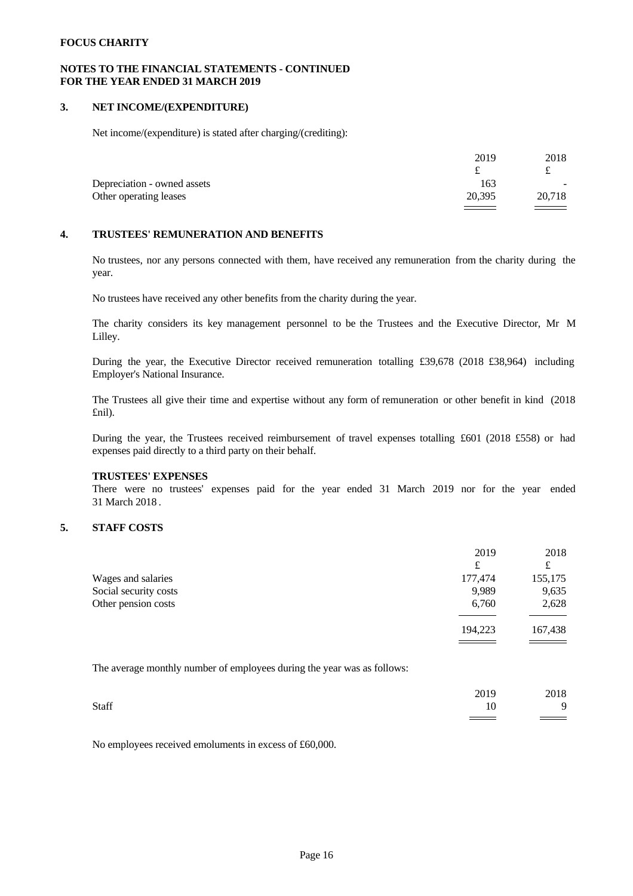### **NOTES TO THE FINANCIAL STATEMENTS - CONTINUED FOR THE YEAR ENDED 31 MARCH 2019**

### **3. NET INCOME/(EXPENDITURE)**

Net income/(expenditure) is stated after charging/(crediting):

|                             | 2019                               | 2018   |  |
|-----------------------------|------------------------------------|--------|--|
|                             |                                    | ے      |  |
| Depreciation - owned assets | 163                                | $\sim$ |  |
| Other operating leases      | 20,395                             | 20,718 |  |
|                             | $\sim$ $\sim$ $\sim$ $\sim$ $\sim$ | ===    |  |

### **4. TRUSTEES' REMUNERATION AND BENEFITS**

No trustees, nor any persons connected with them, have received any remuneration from the charity during the year.

No trustees have received any other benefits from the charity during the year.

The charity considers its key management personnel to be the Trustees and the Executive Director, Mr M Lilley.

During the year, the Executive Director received remuneration totalling £39,678 (2018 £38,964) including Employer's National Insurance.

The Trustees all give their time and expertise without any form of remuneration or other benefit in kind (2018 £nil).

During the year, the Trustees received reimbursement of travel expenses totalling £601 (2018 £558) or had expenses paid directly to a third party on their behalf.

## **TRUSTEES' EXPENSES**

There were no trustees' expenses paid for the year ended 31 March 2019 nor for the year ended 31 March 2018 .

# **5. STAFF COSTS**

|                       | 2019    | 2018    |
|-----------------------|---------|---------|
|                       | £       | £       |
| Wages and salaries    | 177,474 | 155,175 |
| Social security costs | 9,989   | 9,635   |
| Other pension costs   | 6,760   | 2,628   |
|                       |         |         |
|                       | 194,223 | 167,438 |
|                       |         |         |

The average monthly number of employees during the year was as follows:

|       | 2019 | 2018  |  |
|-------|------|-------|--|
| Staff | 10   |       |  |
|       |      | _____ |  |

No employees received emoluments in excess of £60,000.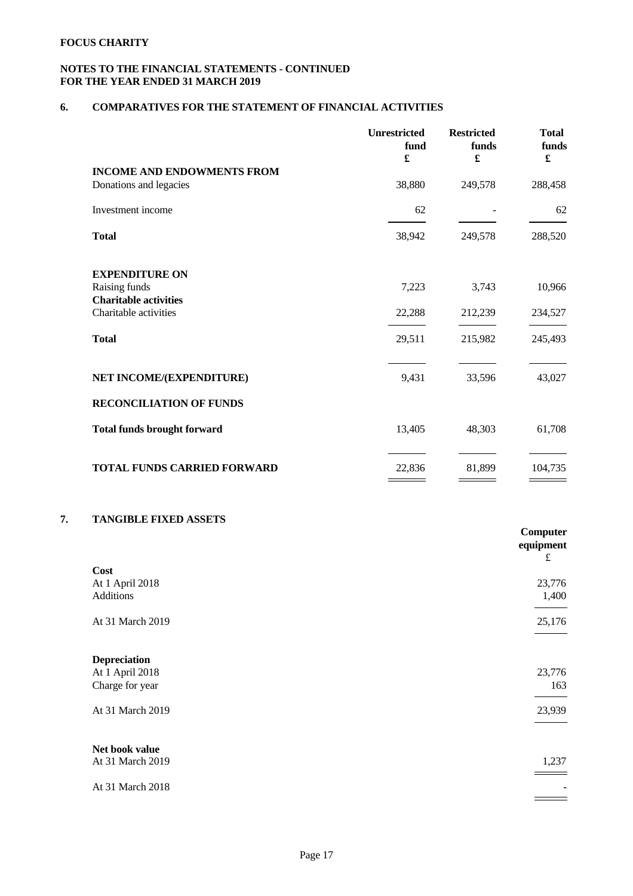# **NOTES TO THE FINANCIAL STATEMENTS - CONTINUED FOR THE YEAR ENDED 31 MARCH 2019**

# **6. COMPARATIVES FOR THE STATEMENT OF FINANCIAL ACTIVITIES**

| £<br>$\pmb{\mathfrak{L}}$<br><b>INCOME AND ENDOWMENTS FROM</b><br>38,880<br>249,578<br>Donations and legacies | $\pmb{\mathfrak{L}}$<br>288,458<br>62 |
|---------------------------------------------------------------------------------------------------------------|---------------------------------------|
|                                                                                                               |                                       |
|                                                                                                               |                                       |
| Investment income<br>62                                                                                       |                                       |
| <b>Total</b><br>249,578<br>38,942                                                                             | 288,520                               |
| <b>EXPENDITURE ON</b>                                                                                         |                                       |
| Raising funds<br>7,223<br>3,743                                                                               | 10,966                                |
| <b>Charitable activities</b>                                                                                  |                                       |
| Charitable activities<br>212,239<br>22,288                                                                    | 234,527                               |
| <b>Total</b><br>29,511<br>215,982                                                                             | 245,493                               |
|                                                                                                               |                                       |
| NET INCOME/(EXPENDITURE)<br>9,431<br>33,596                                                                   | 43,027                                |
| <b>RECONCILIATION OF FUNDS</b>                                                                                |                                       |
| <b>Total funds brought forward</b><br>13,405<br>48,303                                                        | 61,708                                |
| <b>TOTAL FUNDS CARRIED FORWARD</b><br>81,899<br>22,836                                                        | 104,735                               |

# **7. TANGIBLE FIXED ASSETS**

|                     | Computer<br>equipment |
|---------------------|-----------------------|
| Cost                | $\pounds$             |
| At 1 April 2018     | 23,776                |
| Additions           | 1,400                 |
|                     |                       |
| At 31 March 2019    | 25,176                |
|                     |                       |
| <b>Depreciation</b> |                       |
| At 1 April 2018     | 23,776                |
| Charge for year     | 163                   |
|                     |                       |
| At 31 March 2019    | 23,939                |
|                     |                       |
|                     |                       |
| Net book value      |                       |
| At 31 March 2019    | 1,237                 |
| At 31 March 2018    |                       |
|                     |                       |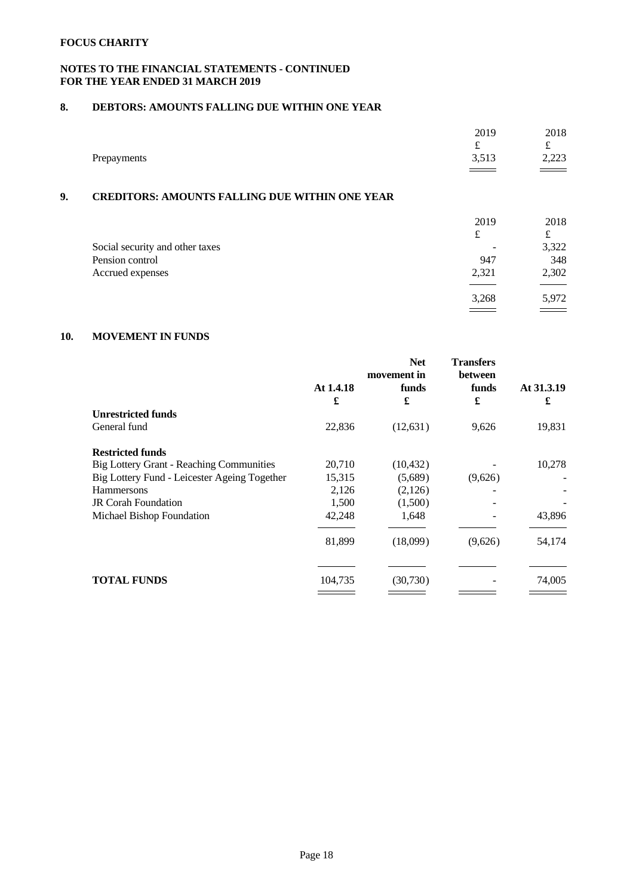# **NOTES TO THE FINANCIAL STATEMENTS - CONTINUED FOR THE YEAR ENDED 31 MARCH 2019**

# **8. DEBTORS: AMOUNTS FALLING DUE WITHIN ONE YEAR**

|             | 2019                      | 2018   |
|-------------|---------------------------|--------|
|             | $\widetilde{\phantom{m}}$ | $\sim$ |
| Prepayments | 512<br>ر د ر.             | 2,223  |
|             |                           |        |

# **9. CREDITORS: AMOUNTS FALLING DUE WITHIN ONE YEAR**

|                                 | 2019                     | 2018  |  |
|---------------------------------|--------------------------|-------|--|
|                                 | £                        | £     |  |
| Social security and other taxes | $\overline{\phantom{a}}$ | 3,322 |  |
| Pension control                 | 947                      | 348   |  |
| Accrued expenses                | 2,321                    | 2,302 |  |
|                                 |                          |       |  |
|                                 | 3,268                    | 5,972 |  |
|                                 |                          |       |  |

# **10. MOVEMENT IN FUNDS**

|                                                 | At 1.4.18<br>£ | movement in<br>funds<br>£ | between<br>funds<br>£ | At 31.3.19<br>£ |
|-------------------------------------------------|----------------|---------------------------|-----------------------|-----------------|
| <b>Unrestricted funds</b>                       |                |                           |                       |                 |
| General fund                                    | 22,836         | (12, 631)                 | 9,626                 | 19,831          |
| <b>Restricted funds</b>                         |                |                           |                       |                 |
| <b>Big Lottery Grant - Reaching Communities</b> | 20,710         | (10, 432)                 |                       | 10,278          |
| Big Lottery Fund - Leicester Ageing Together    | 15,315         | (5,689)                   | (9,626)               |                 |
| <b>Hammersons</b>                               | 2,126          | (2,126)                   |                       |                 |
| <b>JR Corah Foundation</b>                      | 1,500          | (1,500)                   |                       |                 |
| Michael Bishop Foundation                       | 42,248         | 1,648                     |                       | 43,896          |
|                                                 | 81,899         | (18,099)                  | (9,626)               | 54,174          |
| <b>TOTAL FUNDS</b>                              | 104,735        | (30,730)                  |                       | 74,005          |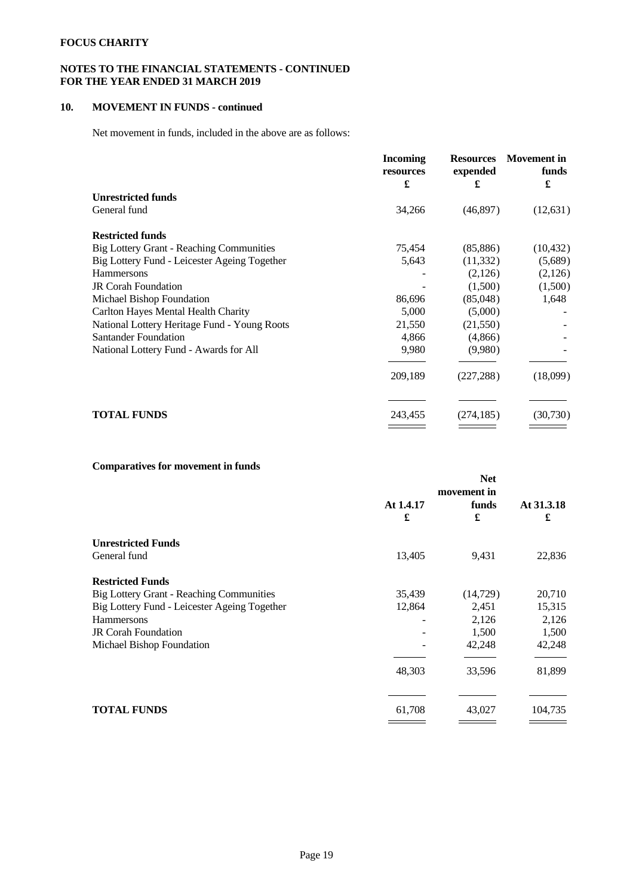# **NOTES TO THE FINANCIAL STATEMENTS - CONTINUED FOR THE YEAR ENDED 31 MARCH 2019**

# **10. MOVEMENT IN FUNDS - continued**

Net movement in funds, included in the above are as follows:

|                                                 | <b>Incoming</b><br>resources<br>£ | <b>Resources</b><br>expended<br>£ | <b>Movement</b> in<br>funds<br>£ |  |
|-------------------------------------------------|-----------------------------------|-----------------------------------|----------------------------------|--|
| <b>Unrestricted funds</b>                       |                                   |                                   |                                  |  |
| General fund                                    | 34,266                            | (46, 897)                         | (12, 631)                        |  |
| <b>Restricted funds</b>                         |                                   |                                   |                                  |  |
| <b>Big Lottery Grant - Reaching Communities</b> | 75,454                            | (85, 886)                         | (10, 432)                        |  |
| Big Lottery Fund - Leicester Ageing Together    | 5,643                             | (11,332)                          | (5,689)                          |  |
| <b>Hammersons</b>                               |                                   | (2,126)                           | (2,126)                          |  |
| <b>JR Corah Foundation</b>                      |                                   | (1,500)                           | (1,500)                          |  |
| Michael Bishop Foundation                       | 86,696                            | (85,048)                          | 1,648                            |  |
| Carlton Hayes Mental Health Charity             | 5,000                             | (5,000)                           |                                  |  |
| National Lottery Heritage Fund - Young Roots    | 21,550                            | (21,550)                          |                                  |  |
| <b>Santander Foundation</b>                     | 4,866                             | (4,866)                           | ۰                                |  |
| National Lottery Fund - Awards for All          | 9,980                             | (9,980)                           |                                  |  |
|                                                 | 209,189                           | (227, 288)                        | (18,099)                         |  |
|                                                 |                                   |                                   |                                  |  |
| <b>TOTAL FUNDS</b>                              | 243,455                           | (274, 185)                        | (30, 730)                        |  |

# **Comparatives for movement in funds**

|                                                 | <b>Net</b><br>movement in |            |                 |
|-------------------------------------------------|---------------------------|------------|-----------------|
|                                                 | At 1.4.17<br>£            | funds<br>£ | At 31.3.18<br>£ |
| <b>Unrestricted Funds</b>                       |                           |            |                 |
| General fund                                    | 13,405                    | 9,431      | 22,836          |
| <b>Restricted Funds</b>                         |                           |            |                 |
| <b>Big Lottery Grant - Reaching Communities</b> | 35,439                    | (14, 729)  | 20,710          |
| Big Lottery Fund - Leicester Ageing Together    | 12,864                    | 2,451      | 15,315          |
| <b>Hammersons</b>                               |                           | 2,126      | 2,126           |
| <b>JR</b> Corah Foundation                      |                           | 1,500      | 1,500           |
| Michael Bishop Foundation                       |                           | 42,248     | 42,248          |
|                                                 | 48,303                    | 33,596     | 81,899          |
|                                                 |                           |            |                 |
| <b>TOTAL FUNDS</b>                              | 61,708                    | 43,027     | 104,735         |
|                                                 |                           |            |                 |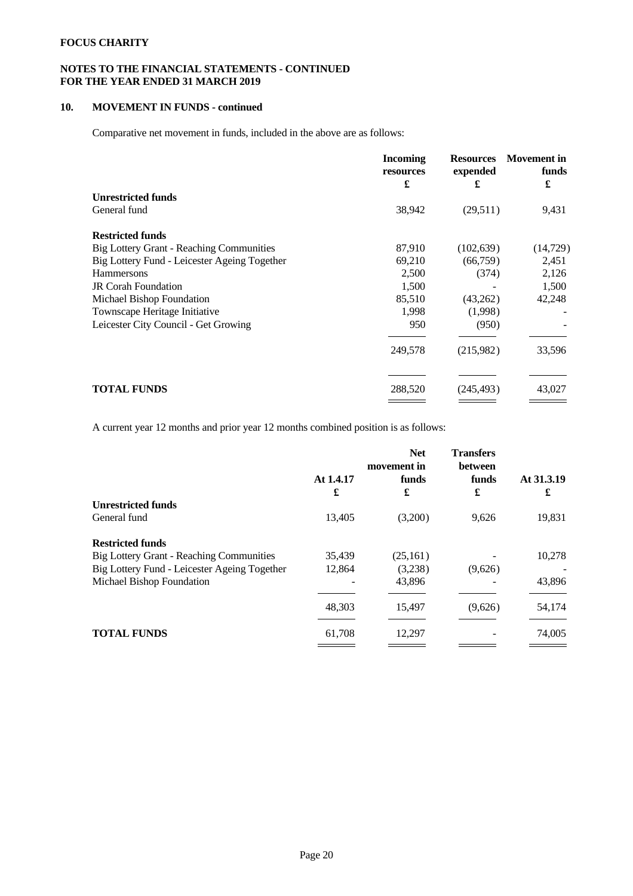# **NOTES TO THE FINANCIAL STATEMENTS - CONTINUED FOR THE YEAR ENDED 31 MARCH 2019**

# **10. MOVEMENT IN FUNDS - continued**

Comparative net movement in funds, included in the above are as follows:

|                                                 | <b>Incoming</b><br>resources<br>£ | <b>Resources</b><br>expended<br>£ | <b>Movement</b> in<br>funds<br>£ |  |
|-------------------------------------------------|-----------------------------------|-----------------------------------|----------------------------------|--|
| <b>Unrestricted funds</b>                       |                                   |                                   |                                  |  |
| General fund                                    | 38,942                            | (29,511)                          | 9,431                            |  |
| <b>Restricted funds</b>                         |                                   |                                   |                                  |  |
| <b>Big Lottery Grant - Reaching Communities</b> | 87,910                            | (102, 639)                        | (14, 729)                        |  |
| Big Lottery Fund - Leicester Ageing Together    | 69,210                            | (66,759)                          | 2,451                            |  |
| <b>Hammersons</b>                               | 2,500                             | (374)                             | 2,126                            |  |
| <b>JR Corah Foundation</b>                      | 1,500                             |                                   | 1,500                            |  |
| Michael Bishop Foundation                       | 85,510                            | (43,262)                          | 42,248                           |  |
| Townscape Heritage Initiative                   | 1,998                             | (1,998)                           |                                  |  |
| Leicester City Council - Get Growing            | 950                               | (950)                             |                                  |  |
|                                                 | 249,578                           | (215,982)                         | 33,596                           |  |
|                                                 |                                   |                                   |                                  |  |
| <b>TOTAL FUNDS</b>                              | 288,520                           | (245, 493)                        | 43,027                           |  |
|                                                 |                                   |                                   |                                  |  |

A current year 12 months and prior year 12 months combined position is as follows:

|                                                 | At 1.4.17<br>£ | <b>Net</b><br>movement in<br>funds<br>£ | <b>Transfers</b><br>between<br>funds<br>£ | At 31.3.19<br>£ |
|-------------------------------------------------|----------------|-----------------------------------------|-------------------------------------------|-----------------|
| <b>Unrestricted funds</b>                       |                |                                         |                                           |                 |
| General fund                                    | 13,405         | (3,200)                                 | 9,626                                     | 19,831          |
| <b>Restricted funds</b>                         |                |                                         |                                           |                 |
| <b>Big Lottery Grant - Reaching Communities</b> | 35,439         | (25,161)                                |                                           | 10,278          |
| Big Lottery Fund - Leicester Ageing Together    | 12,864         | (3,238)                                 | (9,626)                                   |                 |
| Michael Bishop Foundation                       |                | 43,896                                  |                                           | 43,896          |
|                                                 | 48,303         | 15,497                                  | (9,626)                                   | 54,174          |
| <b>TOTAL FUNDS</b>                              | 61,708         | 12,297                                  |                                           | 74,005          |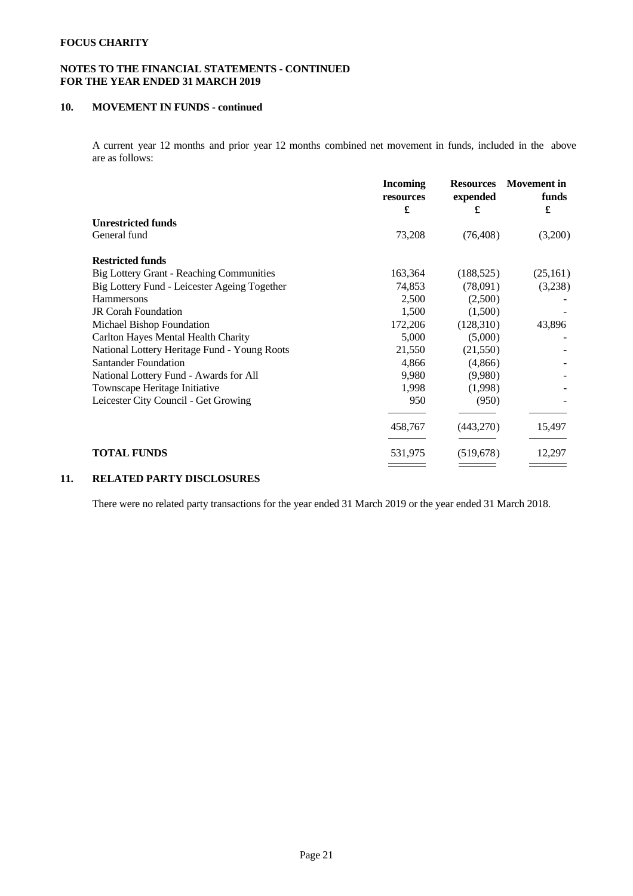# **NOTES TO THE FINANCIAL STATEMENTS - CONTINUED FOR THE YEAR ENDED 31 MARCH 2019**

# **10. MOVEMENT IN FUNDS - continued**

A current year 12 months and prior year 12 months combined net movement in funds, included in the above are as follows:

|                                                 | <b>Incoming</b><br>resources<br>£ | <b>Resources</b><br>expended<br>£ | <b>Movement</b> in<br>funds<br>£ |  |
|-------------------------------------------------|-----------------------------------|-----------------------------------|----------------------------------|--|
| <b>Unrestricted funds</b>                       |                                   |                                   |                                  |  |
| General fund                                    | 73,208                            | (76, 408)                         | (3,200)                          |  |
| <b>Restricted funds</b>                         |                                   |                                   |                                  |  |
| <b>Big Lottery Grant - Reaching Communities</b> | 163,364                           | (188, 525)                        | (25, 161)                        |  |
| Big Lottery Fund - Leicester Ageing Together    | 74,853                            | (78,091)                          | (3,238)                          |  |
| <b>Hammersons</b>                               | 2,500                             | (2,500)                           |                                  |  |
| <b>JR Corah Foundation</b>                      | 1,500                             | (1,500)                           |                                  |  |
| Michael Bishop Foundation                       | 172,206                           | (128,310)                         | 43,896                           |  |
| Carlton Hayes Mental Health Charity             | 5,000                             | (5,000)                           |                                  |  |
| National Lottery Heritage Fund - Young Roots    | 21,550                            | (21,550)                          |                                  |  |
| <b>Santander Foundation</b>                     | 4,866                             | (4,866)                           |                                  |  |
| National Lottery Fund - Awards for All          | 9,980                             | (9,980)                           |                                  |  |
| Townscape Heritage Initiative                   | 1,998                             | (1,998)                           |                                  |  |
| Leicester City Council - Get Growing            | 950                               | (950)                             |                                  |  |
|                                                 | 458,767                           | (443,270)                         | 15,497                           |  |
| <b>TOTAL FUNDS</b>                              | 531,975                           | (519, 678)                        | 12,297                           |  |
|                                                 |                                   |                                   |                                  |  |

# **11. RELATED PARTY DISCLOSURES**

There were no related party transactions for the year ended 31 March 2019 or the year ended 31 March 2018.